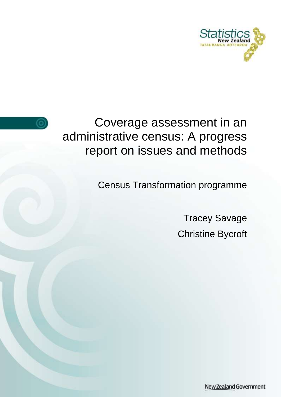



Coverage assessment in an administrative census: A progress report on issues and methods

Census Transformation programme

Tracey Savage Christine Bycroft

New Zealand Government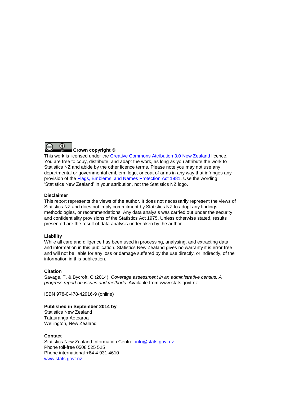

This work is licensed under the [Creative Commons Attribution 3.0 New Zealand](http://creativecommons.org/licenses/by/3.0/nz/deed.en) licence. You are free to copy, distribute, and adapt the work, as long as you attribute the work to Statistics NZ and abide by the other licence terms. Please note you may not use any departmental or governmental emblem, logo, or coat of arms in any way that infringes any provision of the [Flags, Emblems, and Names Protection Act 1981.](http://www.legislation.govt.nz/act/public/1981/0047/latest/DLM51358.html) Use the wording 'Statistics New Zealand' in your attribution, not the Statistics NZ logo.

#### **Disclaimer**

This report represents the views of the author. It does not necessarily represent the views of Statistics NZ and does not imply commitment by Statistics NZ to adopt any findings, methodologies, or recommendations. Any data analysis was carried out under the security and confidentiality provisions of the Statistics Act 1975. Unless otherwise stated, results presented are the result of data analysis undertaken by the author.

#### **Liability**

While all care and diligence has been used in processing, analysing, and extracting data and information in this publication, Statistics New Zealand gives no warranty it is error free and will not be liable for any loss or damage suffered by the use directly, or indirectly, of the information in this publication.

#### **Citation**

Savage, T, & Bycroft, C (2014). *Coverage assessment in an administrative census: A progress report on issues and methods.* Available from www.stats.govt.nz.

ISBN 978-0-478-42916-9 (online)

#### **Published in September 2014 by**

Statistics New Zealand Tatauranga Aotearoa Wellington, New Zealand

#### **Contact**

Statistics New Zealand Information Centre: [info@stats.govt.nz](mailto:info@stats.govt.nz) Phone toll-free 0508 525 525 Phone international +64 4 931 4610 [www.stats.govt.nz](http://www.stats.govt.nz/)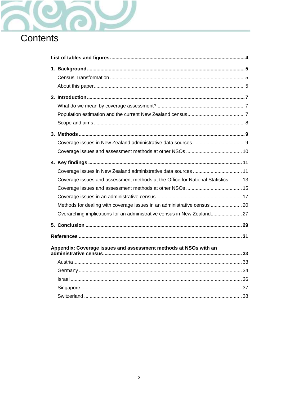

| Coverage issues in New Zealand administrative data sources  11                  |  |
|---------------------------------------------------------------------------------|--|
| Coverage issues and assessment methods at the Office for National Statistics 13 |  |
|                                                                                 |  |
|                                                                                 |  |
| Methods for dealing with coverage issues in an administrative census  20        |  |
| Overarching implications for an administrative census in New Zealand 27         |  |
|                                                                                 |  |
|                                                                                 |  |
| Appendix: Coverage issues and assessment methods at NSOs with an                |  |
|                                                                                 |  |
|                                                                                 |  |
|                                                                                 |  |
|                                                                                 |  |
|                                                                                 |  |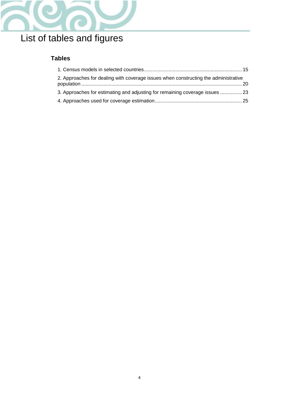

# <span id="page-3-0"></span>List of tables and figures

# **Tables**

| 2. Approaches for dealing with coverage issues when constructing the administrative |  |
|-------------------------------------------------------------------------------------|--|
| 3. Approaches for estimating and adjusting for remaining coverage issues  23        |  |
|                                                                                     |  |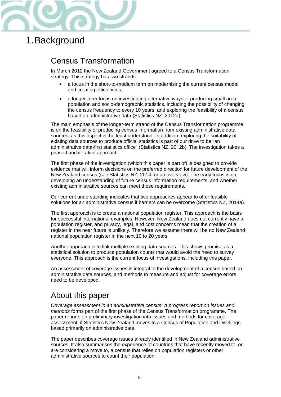

# <span id="page-4-0"></span>1.Background

# <span id="page-4-1"></span>Census Transformation

In March 2012 the New Zealand Government agreed to a Census Transformation strategy. This strategy has two strands:

- a focus in the short-to-medium term on modernising the current census model and creating efficiencies.
- a longer-term focus on investigating alternative ways of producing small area population and socio-demographic statistics, including the possibility of changing the census frequency to every 10 years, and exploring the feasibility of a census based on administrative data (Statistics NZ, 2012a).

The main emphasis of the longer-term strand of the Census Transformation programme is on the feasibility of producing census information from existing administrative data sources, as this aspect is the least understood. In addition, exploring the suitability of existing data sources to produce official statistics is part of our drive to be "an administrative data-first statistics office" (Statistics NZ, 2012b). The investigation takes a phased and iterative approach.

The first phase of the investigation (which this paper is part of) is designed to provide evidence that will inform decisions on the preferred direction for future development of the New Zealand census (see Statistics NZ, 2014 for an overview). The early focus is on developing an understanding of future census information requirements, and whether existing administrative sources can meet those requirements.

Our current understanding indicates that two approaches appear to offer feasible solutions for an administrative census if barriers can be overcome (Statistics NZ, 2014a).

The first approach is to create a national population register. This approach is the basis for successful international examples. However, New Zealand does not currently have a population register, and privacy, legal, and cost concerns mean that the creation of a register in the near future is unlikely. Therefore we assume there will be no New Zealand national population register in the next 10 to 20 years.

Another approach is to link multiple existing data sources. This shows promise as a statistical solution to produce population counts that would avoid the need to survey everyone. This approach is the current focus of investigations, including this paper.

An assessment of coverage issues is integral to the development of a census based on administrative data sources, and methods to measure and adjust for coverage errors need to be developed.

# <span id="page-4-2"></span>About this paper

*Coverage assessment in an administrative census: A progress report on issues and methods* forms part of the first phase of the Census Transformation programme. The paper reports on preliminary investigation into issues and methods for coverage assessment, if Statistics New Zealand moves to a Census of Population and Dwellings based primarily on administrative data.

The paper describes coverage issues already identified in New Zealand administrative sources. It also summarises the experience of countries that have recently moved to, or are considering a move to, a census that relies on population registers or other administrative sources to count their population.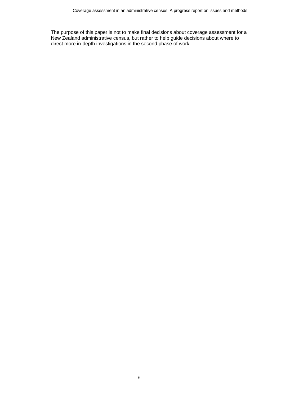The purpose of this paper is not to make final decisions about coverage assessment for a New Zealand administrative census, but rather to help guide decisions about where to direct more in-depth investigations in the second phase of work.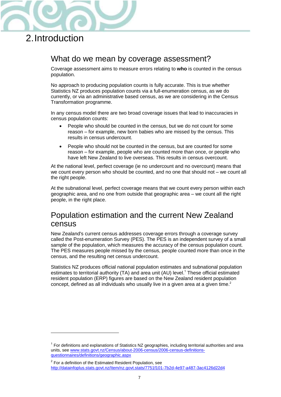

# <span id="page-6-0"></span>2.Introduction

 $\overline{a}$ 

# <span id="page-6-1"></span>What do we mean by coverage assessment?

Coverage assessment aims to measure errors relating to **who** is counted in the census population.

No approach to producing population counts is fully accurate. This is true whether Statistics NZ produces population counts via a full-enumeration census, as we do currently, or via an administrative based census, as we are considering in the Census Transformation programme.

In any census model there are two broad coverage issues that lead to inaccuracies in census population counts:

- People who should be counted in the census, but we do not count for some reason – for example, new born babies who are missed by the census. This results in census undercount.
- People who should not be counted in the census, but are counted for some reason – for example, people who are counted more than once, or people who have left New Zealand to live overseas. This results in census overcount.

At the national level, perfect coverage (ie no undercount and no overcount) means that we count every person who should be counted, and no one that should not – we count all the right people.

At the subnational level, perfect coverage means that we count every person within each geographic area, and no one from outside that geographic area – we count all the right people, in the right place.

# <span id="page-6-2"></span>Population estimation and the current New Zealand census

New Zealand's current census addresses coverage errors through a coverage survey called the Post-enumeration Survey (PES). The PES is an independent survey of a small sample of the population, which measures the accuracy of the census population count. The PES measures people missed by the census, people counted more than once in the census, and the resulting net census undercount.

Statistics NZ produces official national population estimates and subnational population estimates to territorial authority (TA) and area unit (AU) level.<sup>1</sup> These official estimated resident population (ERP) figures are based on the New Zealand resident population concept, defined as all individuals who usually live in a given area at a given time.<sup>2</sup>

<sup>&</sup>lt;sup>1</sup> For definitions and explanations of Statistics NZ geographies, including territorial authorities and area units, see [www.stats.govt.nz/Census/about-2006-census/2006-census-definitions](http://www.stats.govt.nz/Census/about-2006-census/2006-census-definitions-questionnaires/definitions/geographic.aspx)[questionnaires/definitions/geographic.aspx](http://www.stats.govt.nz/Census/about-2006-census/2006-census-definitions-questionnaires/definitions/geographic.aspx)

 $2$  For a definition of the Estimated Resident Population, see <http://datainfoplus.stats.govt.nz/Item/nz.govt.stats/7751f101-7b2d-4e97-a487-3ac4126d22d4>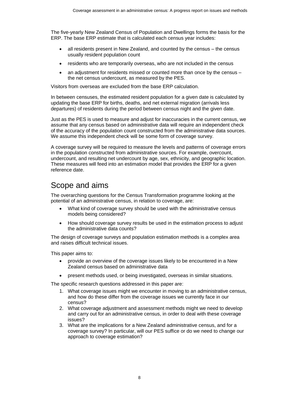The five-yearly New Zealand Census of Population and Dwellings forms the basis for the ERP. The base ERP estimate that is calculated each census year includes:

- all residents present in New Zealand, and counted by the census the census usually resident population count
- residents who are temporarily overseas, who are not included in the census
- an adjustment for residents missed or counted more than once by the census the net census undercount, as measured by the PES.

Visitors from overseas are excluded from the base ERP calculation.

In between censuses, the estimated resident population for a given date is calculated by updating the base ERP for births, deaths, and net external migration (arrivals less departures) of residents during the period between census night and the given date.

Just as the PES is used to measure and adjust for inaccuracies in the current census, we assume that any census based on administrative data will require an independent check of the accuracy of the population count constructed from the administrative data sources. We assume this independent check will be some form of coverage survey.

A coverage survey will be required to measure the levels and patterns of coverage errors in the population constructed from administrative sources. For example, overcount, undercount, and resulting net undercount by age, sex, ethnicity, and geographic location. These measures will feed into an estimation model that provides the ERP for a given reference date.

# <span id="page-7-0"></span>Scope and aims

The overarching questions for the Census Transformation programme looking at the potential of an administrative census, in relation to coverage, are:

- What kind of coverage survey should be used with the administrative census models being considered?
- How should coverage survey results be used in the estimation process to adjust the administrative data counts?

The design of coverage surveys and population estimation methods is a complex area and raises difficult technical issues.

This paper aims to:

- provide an overview of the coverage issues likely to be encountered in a New Zealand census based on administrative data
- present methods used, or being investigated, overseas in similar situations.

The specific research questions addressed in this paper are:

- 1. What coverage issues might we encounter in moving to an administrative census, and how do these differ from the coverage issues we currently face in our census?
- 2. What coverage adjustment and assessment methods might we need to develop and carry out for an administrative census, in order to deal with these coverage issues?
- 3. What are the implications for a New Zealand administrative census, and for a coverage survey? In particular, will our PES suffice or do we need to change our approach to coverage estimation?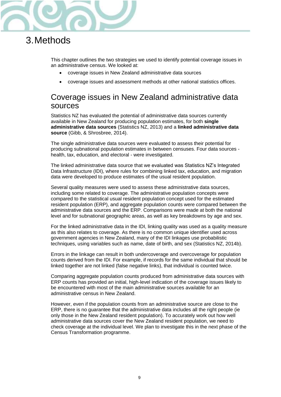

# <span id="page-8-0"></span>3.Methods

This chapter outlines the two strategies we used to identify potential coverage issues in an administrative census. We looked at:

- coverage issues in New Zealand administrative data sources
- coverage issues and assessment methods at other national statistics offices.

# <span id="page-8-1"></span>Coverage issues in New Zealand administrative data sources

Statistics NZ has evaluated the potential of administrative data sources currently available in New Zealand for producing population estimates, for both **single administrative data sources** (Statistics NZ, 2013) and a **linked administrative data source** (Gibb, & Shrosbree, 2014).

The single administrative data sources were evaluated to assess their potential for producing subnational population estimates in between censuses. Four data sources health, tax, education, and electoral - were investigated.

The linked administrative data source that we evaluated was Statistics NZ's Integrated Data Infrastructure (IDI), where rules for combining linked tax, education, and migration data were developed to produce estimates of the usual resident population.

Several quality measures were used to assess these administrative data sources, including some related to coverage. The administrative population concepts were compared to the statistical usual resident population concept used for the estimated resident population (ERP), and aggregate population counts were compared between the administrative data sources and the ERP. Comparisons were made at both the national level and for subnational geographic areas, as well as key breakdowns by age and sex.

For the linked administrative data in the IDI, linking quality was used as a quality measure as this also relates to coverage. As there is no common unique identifier used across government agencies in New Zealand, many of the IDI linkages use probabilistic techniques, using variables such as name, date of birth, and sex (Statistics NZ, 2014b).

Errors in the linkage can result in both undercoverage and overcoverage for population counts derived from the IDI. For example, if records for the same individual that should be linked together are not linked (false negative links), that individual is counted twice.

Comparing aggregate population counts produced from administrative data sources with ERP counts has provided an initial, high-level indication of the coverage issues likely to be encountered with most of the main administrative sources available for an administrative census in New Zealand.

However, even if the population counts from an administrative source are close to the ERP, there is no guarantee that the administrative data includes all the right people (ie only those in the New Zealand resident population). To accurately work out how well administrative data sources cover the New Zealand resident population, we need to check coverage at the individual level. We plan to investigate this in the next phase of the Census Transformation programme.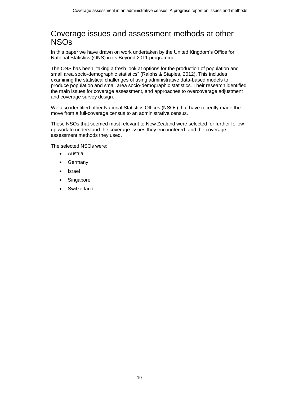# <span id="page-9-0"></span>Coverage issues and assessment methods at other NSOs

In this paper we have drawn on work undertaken by the United Kingdom's Office for National Statistics (ONS) in its Beyond 2011 programme.

The ONS has been "taking a fresh look at options for the production of population and small area socio-demographic statistics" (Ralphs & Staples, 2012). This includes examining the statistical challenges of using administrative data-based models to produce population and small area socio-demographic statistics. Their research identified the main issues for coverage assessment, and approaches to overcoverage adjustment and coverage survey design.

We also identified other National Statistics Offices (NSOs) that have recently made the move from a full-coverage census to an administrative census.

Those NSOs that seemed most relevant to New Zealand were selected for further followup work to understand the coverage issues they encountered, and the coverage assessment methods they used.

The selected NSOs were:

- Austria
- Germany
- Israel
- Singapore
- **Switzerland**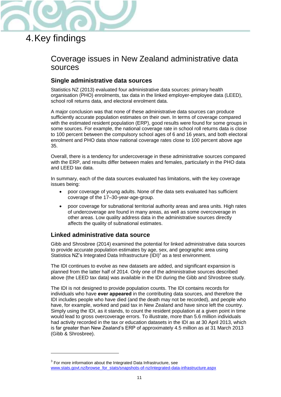

# <span id="page-10-0"></span>4.Key findings

 $\overline{a}$ 

# <span id="page-10-1"></span>Coverage issues in New Zealand administrative data sources

## **Single administrative data sources**

Statistics NZ (2013) evaluated four administrative data sources: primary health organisation (PHO) enrolments, tax data in the linked employer-employee data (LEED), school roll returns data, and electoral enrolment data.

A major conclusion was that none of these administrative data sources can produce sufficiently accurate population estimates on their own. In terms of coverage compared with the estimated resident population (ERP), good results were found for some groups in some sources. For example, the national coverage rate in school roll returns data is close to 100 percent between the compulsory school ages of 6 and 16 years, and both electoral enrolment and PHO data show national coverage rates close to 100 percent above age 35.

Overall, there is a tendency for undercoverage in these administrative sources compared with the ERP, and results differ between males and females, particularly in the PHO data and LEED tax data.

In summary, each of the data sources evaluated has limitations, with the key coverage issues being:

- poor coverage of young adults. None of the data sets evaluated has sufficient coverage of the 17–30-year-age-group.
- poor coverage for subnational territorial authority areas and area units. High rates of undercoverage are found in many areas, as well as some overcoverage in other areas. Low quality address data in the administrative sources directly affects the quality of subnational estimates.

### **Linked administrative data source**

Gibb and Shrosbree (2014) examined the potential for linked administrative data sources to provide accurate population estimates by age, sex, and geographic area using Statistics NZ's Integrated Data Infrastructure  $(IDI)^3$  as a test environment.

The IDI continues to evolve as new datasets are added, and significant expansion is planned from the latter half of 2014. Only one of the administrative sources described above (the LEED tax data) was available in the IDI during the Gibb and Shrosbree study.

The IDI is not designed to provide population counts. The IDI contains records for individuals who have ever appeared in the contributing data sources, and therefore the IDI includes people who have died (and the death may not be recorded), and people who have, for example, worked and paid tax in New Zealand and have since left the country. Simply using the IDI, as it stands, to count the resident population at a given point in time would lead to gross overcoverage errors. To illustrate, more than 5.6 million individuals had activity recorded in the tax or education datasets in the IDI as at 30 April 2013, which is far greater than New Zealand's ERP of approximately 4.5 million as at 31 March 2013 (Gibb & Shrosbree).

 $3$  For more information about the Integrated Data Infrastructure, see [www.stats.govt.nz/browse\\_for\\_stats/snapshots-of-nz/integrated-data-infrastructure.aspx](http://www.stats.govt.nz/browse_for_stats/snapshots-of-nz/integrated-data-infrastructure.aspx)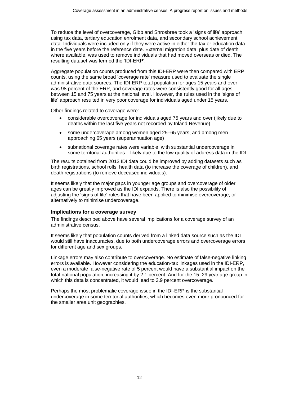To reduce the level of overcoverage, Gibb and Shrosbree took a 'signs of life' approach using tax data, tertiary education enrolment data, and secondary school achievement data. Individuals were included only if they were active in either the tax or education data in the five years before the reference date. External migration data, plus date of death where available, was used to remove individuals that had moved overseas or died. The resulting dataset was termed the 'IDI-ERP'.

Aggregate population counts produced from this IDI-ERP were then compared with ERP counts, using the same broad 'coverage rate' measure used to evaluate the single administrative data sources. The IDI-ERP total population for ages 15 years and over was 98 percent of the ERP, and coverage rates were consistently good for all ages between 15 and 75 years at the national level. However, the rules used in the 'signs of life' approach resulted in very poor coverage for individuals aged under 15 years.

Other findings related to coverage were:

- considerable overcoverage for individuals aged 75 years and over (likely due to deaths within the last five years not recorded by Inland Revenue)
- some undercoverage among women aged 25–65 years, and among men approaching 65 years (superannuation age)
- subnational coverage rates were variable, with substantial undercoverage in some territorial authorities – likely due to the low quality of address data in the IDI.

The results obtained from 2013 IDI data could be improved by adding datasets such as birth registrations, school rolls, health data (to increase the coverage of children), and death registrations (to remove deceased individuals).

It seems likely that the major gaps in younger age groups and overcoverage of older ages can be greatly improved as the IDI expands. There is also the possibility of adjusting the 'signs of life' rules that have been applied to minimise overcoverage, or alternatively to minimise undercoverage.

#### Implications for a coverage survey

The findings described above have several implications for a coverage survey of an administrative census.

It seems likely that population counts derived from a linked data source such as the IDI would still have inaccuracies, due to both undercoverage errors and overcoverage errors for different age and sex groups.

Linkage errors may also contribute to overcoverage. No estimate of false-negative linking errors is available. However considering the education-tax linkages used in the IDI-ERP, even a moderate false-negative rate of 5 percent would have a substantial impact on the total national population, increasing it by 2.1 percent. And for the 15–29 year age group in which this data is concentrated, it would lead to 3.9 percent overcoverage.

Perhaps the most problematic coverage issue in the IDI-ERP is the substantial undercoverage in some territorial authorities, which becomes even more pronounced for the smaller area unit geographies.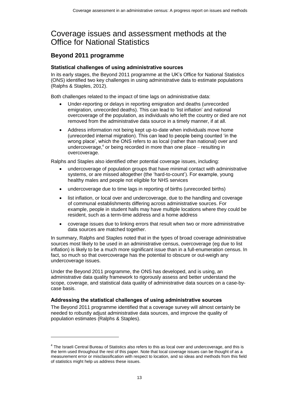# <span id="page-12-0"></span>Coverage issues and assessment methods at the Office for National Statistics

### **Beyond 2011 programme**

#### Statistical challenges of using administrative sources

In its early stages, the Beyond 2011 programme at the UK's Office for National Statistics (ONS) identified two key challenges in using administrative data to estimate populations (Ralphs & Staples, 2012).

Both challenges related to the impact of time lags on administrative data:

- Under-reporting or delays in reporting emigration and deaths (unrecorded emigration, unrecorded deaths). This can lead to 'list inflation' and national overcoverage of the population, as individuals who left the country or died are not removed from the administrative data source in a timely manner, if at all.
- Address information not being kept up-to-date when individuals move home (unrecorded internal migration). This can lead to people being counted 'in the wrong place', which the ONS refers to as local (rather than national) over and undercoverage, 4 or being recorded in more than one place – resulting in overcoverage.

Ralphs and Staples also identified other potential coverage issues, including:

- undercoverage of population groups that have minimal contact with administrative systems, or are missed altogether (the 'hard-to-count'). For example, young healthy males and people not eligible for NHS services
- undercoverage due to time lags in reporting of births (unrecorded births)
- list inflation, or local over and undercoverage, due to the handling and coverage of communal establishments differing across administrative sources. For example, people in student halls may have multiple locations where they could be resident, such as a term-time address and a home address
- coverage issues due to linking errors that result when two or more administrative data sources are matched together.

In summary, Ralphs and Staples noted that in the types of broad coverage administrative sources most likely to be used in an administrative census, overcoverage (eg due to list inflation) is likely to be a much more significant issue than in a full-enumeration census. In fact, so much so that overcoverage has the potential to obscure or out-weigh any undercoverage issues.

Under the Beyond 2011 programme, the ONS has developed, and is using, an administrative data quality framework to rigorously assess and better understand the scope, coverage, and statistical data quality of administrative data sources on a case-bycase basis.

#### Addressing the statistical challenges of using administrative sources

l

The Beyond 2011 programme identified that a coverage survey will almost certainly be needed to robustly adjust administrative data sources, and improve the quality of population estimates (Ralphs & Staples).

<sup>&</sup>lt;sup>4</sup> The Israeli Central Bureau of Statistics also refers to this as local over and undercoverage, and this is the term used throughout the rest of this paper. Note that local coverage issues can be thought of as a measurement error or misclassification with respect to location, and so ideas and methods from this field of statistics might help us address these issues.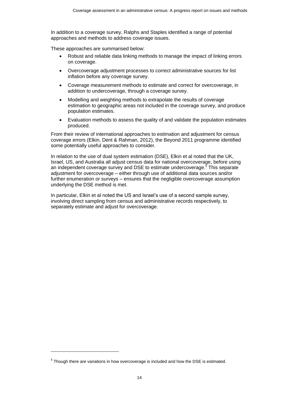In addition to a coverage survey, Ralphs and Staples identified a range of potential approaches and methods to address coverage issues.

These approaches are summarised below:

- Robust and reliable data linking methods to manage the impact of linking errors on coverage.
- Overcoverage adjustment processes to correct administrative sources for list inflation before any coverage survey.
- Coverage measurement methods to estimate and correct for overcoverage, in addition to undercoverage, through a coverage survey.
- Modelling and weighting methods to extrapolate the results of coverage estimation to geographic areas not included in the coverage survey, and produce population estimates.
- Evaluation methods to assess the quality of and validate the population estimates produced.

From their review of international approaches to estimation and adjustment for census coverage errors (Elkin, Dent & Rahman, 2012), the Beyond 2011 programme identified some potentially useful approaches to consider.

In relation to the use of dual system estimation (DSE), Elkin et al noted that the UK, Israel, US, and Australia all adjust census data for national overcoverage, before using an independent coverage survey and DSE to estimate undercoverage. <sup>5</sup> This separate adjustment for overcoverage – either through use of additional data sources and/or further enumeration or surveys – ensures that the negligible overcoverage assumption underlying the DSE method is met.

In particular, Elkin et al noted the US and Israel's use of a second sample survey, involving direct sampling from census and administrative records respectively, to separately estimate and adjust for overcoverage.

 $\overline{a}$ 

 $<sup>5</sup>$  Though there are variations in how overcoverage is included and how the DSE is estimated.</sup>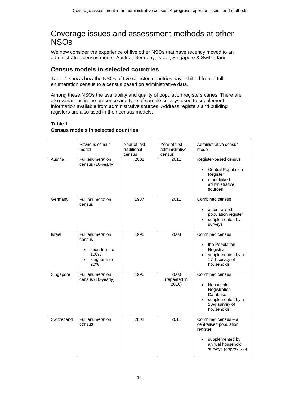# <span id="page-14-0"></span>Coverage issues and assessment methods at other NSOs

We now consider the experience of five other NSOs that have recently moved to an administrative census model: Austria, Germany, Israel, Singapore & Switzerland.

## **Census models in selected countries**

Table 1 shows how the NSOs of five selected countries have shifted from a fullenumeration census to a census based on administrative data.

Among these NSOs the availability and quality of population registers varies. There are also variations in the presence and type of sample surveys used to supplement information available from administrative sources. Address registers and building registers are also used in their census models.

#### **Table 1**

### **Census models in selected countries**

<span id="page-14-1"></span>

|             | Previous census<br>model                                                        | Year of last<br>traditional<br>census | Year of first<br>administrative<br>census | Administrative census<br>model                                                                                            |
|-------------|---------------------------------------------------------------------------------|---------------------------------------|-------------------------------------------|---------------------------------------------------------------------------------------------------------------------------|
| Austria     | Full enumeration<br>census (10-yearly)                                          | 2001                                  | 2011                                      | Register-based census<br><b>Central Population</b><br>Register<br>other linked<br>administrative<br>sources               |
| Germany     | Full enumeration<br>census                                                      | 1987                                  | 2011                                      | Combined census<br>a centralised<br>$\bullet$<br>population register<br>supplemented by<br>surveys                        |
| Israel      | Full enumeration<br>census<br>short form to<br>٠<br>100%<br>long form to<br>20% | 1995                                  | 2008                                      | Combined census<br>the Population<br>Registry<br>supplemented by a<br>17% survey of<br>households                         |
| Singapore   | Full enumeration<br>census (10-yearly)                                          | 1990                                  | 2000<br>(repeated in<br>2010)             | Combined census<br>Household<br>Registration<br>Database<br>supplemented by a<br>20% survey of<br>households              |
| Switzerland | Full enumeration<br>census                                                      | 2001                                  | 2011                                      | Combined census $- a$<br>centralised population<br>register<br>supplemented by<br>annual household<br>surveys (approx 5%) |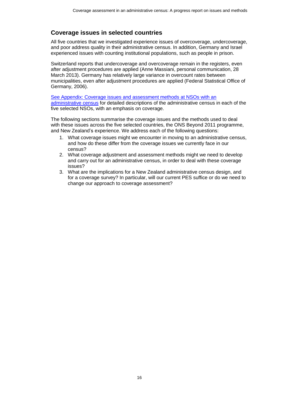## **Coverage issues in selected countries**

All five countries that we investigated experience issues of overcoverage, undercoverage, and poor address quality in their administrative census. In addition, Germany and Israel experienced issues with counting institutional populations, such as people in prison.

Switzerland reports that undercoverage and overcoverage remain in the registers, even after adjustment procedures are applied (Anne Massiani, personal communication, 28 March 2013). Germany has relatively large variance in overcount rates between municipalities, even after adjustment procedures are applied (Federal Statistical Office of Germany, 2006).

[See Appendix: Coverage issues and assessment methods at NSOs with an](#page-32-0)  [administrative census](#page-32-0) for detailed descriptions of the administrative census in each of the five selected NSOs, with an emphasis on coverage.

The following sections summarise the coverage issues and the methods used to deal with these issues across the five selected countries, the ONS Beyond 2011 programme, and New Zealand's experience. We address each of the following questions:

- 1. What coverage issues might we encounter in moving to an administrative census, and how do these differ from the coverage issues we currently face in our census?
- 2. What coverage adjustment and assessment methods might we need to develop and carry out for an administrative census, in order to deal with these coverage issues?
- 3. What are the implications for a New Zealand administrative census design, and for a coverage survey? In particular, will our current PES suffice or do we need to change our approach to coverage assessment?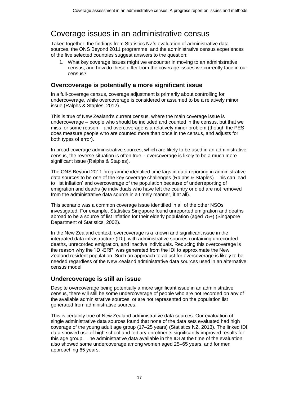# <span id="page-16-0"></span>Coverage issues in an administrative census

Taken together, the findings from Statistics NZ's evaluation of administrative data sources, the ONS Beyond 2011 programme, and the administrative census experiences of the five selected countries suggest answers to the question:

1. What key coverage issues might we encounter in moving to an administrative census, and how do these differ from the coverage issues we currently face in our census?

### **Overcoverage is potentially a more significant issue**

In a full-coverage census, coverage adjustment is primarily about controlling for undercoverage, while overcoverage is considered or assumed to be a relatively minor issue (Ralphs & Staples, 2012).

This is true of New Zealand's current census, where the main coverage issue is undercoverage – people who should be included and counted in the census, but that we miss for some reason – and overcoverage is a relatively minor problem (though the PES does measure people who are counted more than once in the census, and adjusts for both types of error).

In broad coverage administrative sources, which are likely to be used in an administrative census, the reverse situation is often true – overcoverage is likely to be a much more significant issue (Ralphs & Staples).

The ONS Beyond 2011 programme identified time lags in data reporting in administrative data sources to be one of the key coverage challenges (Ralphs & Staples). This can lead to 'list inflation' and overcoverage of the population because of underreporting of emigration and deaths (ie individuals who have left the country or died are not removed from the administrative data source in a timely manner, if at all).

This scenario was a common coverage issue identified in all of the other NSOs investigated. For example, Statistics Singapore found unreported emigration and deaths abroad to be a source of list inflation for their elderly population (aged 75+) (Singapore Department of Statistics, 2002).

In the New Zealand context, overcoverage is a known and significant issue in the integrated data infrastructure (IDI), with administrative sources containing unrecorded deaths, unrecorded emigration, and inactive individuals. Reducing this overcoverage is the reason why the 'IDI-ERP' was generated from the IDI to approximate the New Zealand resident population. Such an approach to adjust for overcoverage is likely to be needed regardless of the New Zealand administrative data sources used in an alternative census model.

## **Undercoverage is still an issue**

Despite overcoverage being potentially a more significant issue in an administrative census, there will still be some undercoverage of people who are not recorded on any of the available administrative sources, or are not represented on the population list generated from administrative sources.

This is certainly true of New Zealand administrative data sources. Our evaluation of single administrative data sources found that none of the data sets evaluated had high coverage of the young adult age group (17–25 years) (Statistics NZ, 2013). The linked IDI data showed use of high school and tertiary enrolments significantly improved results for this age group. The administrative data available in the IDI at the time of the evaluation also showed some undercoverage among women aged 25–65 years, and for men approaching 65 years.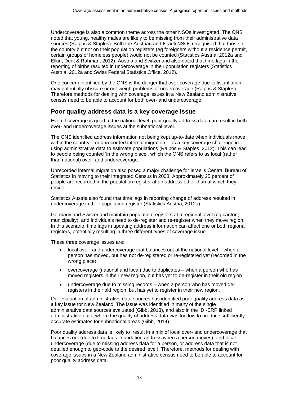Undercoverage is also a common theme across the other NSOs investigated. The ONS noted that young, healthy males are likely to be missing from their administrative data sources (Ralphs & Staples). Both the Austrian and Israeli NSOs recognised that those in the country but not on their population registers (eg foreigners without a residence permit, certain groups of homeless people) would not be counted (Statistics Austria, 2012a and Elkin, Dent & Rahman, 2012). Austria and Switzerland also noted that time lags in the reporting of births resulted in undercoverage in their population registers (Statistics Austria, 2012a and Swiss Federal Statistics Office, 2012).

One concern identified by the ONS is the danger that over-coverage due to list inflation may potentially obscure or out-weigh problems of undercoverage (Ralphs & Staples). Therefore methods for dealing with coverage issues in a New Zealand administrative census need to be able to account for both over- and undercoverage.

### **Poor quality address data is a key coverage issue**

Even if coverage is good at the national level, poor quality address data can result in both over- and undercoverage issues at the subnational level.

The ONS identified address information not being kept up-to-date when individuals move within the country – or unrecorded internal migration – as a key coverage challenge in using administrative data to estimate populations (Ralphs & Staples, 2012). This can lead to people being counted 'in the wrong place', which the ONS refers to as local (rather than national) over- and undercoverage.

Unrecorded internal migration also posed a major challenge for Israel's Central Bureau of Statistics in moving to their Integrated Census in 2008. Approximately 25 percent of people are recorded in the population register at an address other than at which they reside.

Statistics Austria also found that time lags in reporting change of address resulted in undercoverage in their population register (Statistics Austria, 2012a).

Germany and Switzerland maintain population registers at a regional level (eg canton, municipality), and individuals need to de-register and re-register when they move region. In this scenario, time lags in updating address information can affect one or both regional registers, potentially resulting in three different types of coverage issue.

These three coverage issues are:

- local over- and undercoverage that balances out at the national level when a person has moved, but has not de-registered or re-registered yet (recorded in the wrong place)
- overcoverage (national and local) due to duplicates when a person who has moved registers in their new region, but has yet to de-register in their old region
- undercoverage due to missing records when a person who has moved deregisters in their old region, but has yet to register in their new region.

Our evaluation of administrative data sources has identified poor quality address data as a key issue for New Zealand. The issue was identified in many of the single administrative data sources evaluated (Gibb, 2013), and also in the IDI-ERP linked administrative data, where the quality of address data was too low to produce sufficiently accurate estimates for subnational areas (Gibb, 2014).

Poor quality address data is likely to result in a mix of local over- and undercoverage that balances out (due to time lags in updating address when a person moves), and local undercoverage (due to missing address data for a person, or address data that is not detailed enough to geo-code to the desired level). Therefore, methods for dealing with coverage issues in a New Zealand administrative census need to be able to account for poor quality address data.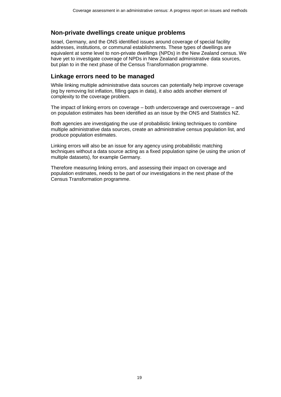### **Non-private dwellings create unique problems**

Israel, Germany, and the ONS identified issues around coverage of special facility addresses, institutions, or communal establishments. These types of dwellings are equivalent at some level to non-private dwellings (NPDs) in the New Zealand census. We have yet to investigate coverage of NPDs in New Zealand administrative data sources, but plan to in the next phase of the Census Transformation programme.

### **Linkage errors need to be managed**

While linking multiple administrative data sources can potentially help improve coverage (eg by removing list inflation, filling gaps in data), it also adds another element of complexity to the coverage problem.

The impact of linking errors on coverage – both undercoverage and overcoverage – and on population estimates has been identified as an issue by the ONS and Statistics NZ.

Both agencies are investigating the use of probabilistic linking techniques to combine multiple administrative data sources, create an administrative census population list, and produce population estimates.

Linking errors will also be an issue for any agency using probabilistic matching techniques without a data source acting as a fixed population spine (ie using the union of multiple datasets), for example Germany.

Therefore measuring linking errors, and assessing their impact on coverage and population estimates, needs to be part of our investigations in the next phase of the Census Transformation programme.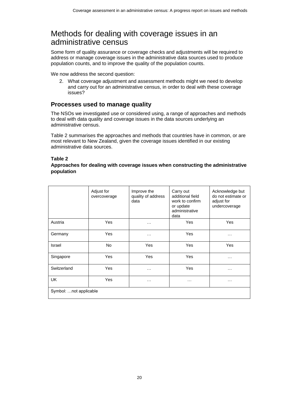# <span id="page-19-0"></span>Methods for dealing with coverage issues in an administrative census

Some form of quality assurance or coverage checks and adjustments will be required to address or manage coverage issues in the administrative data sources used to produce population counts, and to improve the quality of the population counts.

We now address the second question:

2. What coverage adjustment and assessment methods might we need to develop and carry out for an administrative census, in order to deal with these coverage issues?

### **Processes used to manage quality**

The NSOs we investigated use or considered using, a range of approaches and methods to deal with data quality and coverage issues in the data sources underlying an administrative census.

Table 2 summarises the approaches and methods that countries have in common, or are most relevant to New Zealand, given the coverage issues identified in our existing administrative data sources.

#### **Table 2**

#### **Approaches for dealing with coverage issues when constructing the administrative population**

<span id="page-19-1"></span>

|                         | Adjust for<br>overcoverage | Improve the<br>quality of address<br>data | Carry out<br>additional field<br>work to confirm<br>or update<br>administrative<br>data | Acknowledge but<br>do not estimate or<br>adjust for<br>undercoverage |
|-------------------------|----------------------------|-------------------------------------------|-----------------------------------------------------------------------------------------|----------------------------------------------------------------------|
| Austria                 | Yes                        | .                                         | Yes                                                                                     | Yes                                                                  |
| Germany                 | Yes                        | $\ddotsc$                                 | Yes                                                                                     | $\cdots$                                                             |
| Israel                  | <b>No</b>                  | Yes                                       | Yes                                                                                     | Yes                                                                  |
| Singapore               | Yes                        | Yes                                       | Yes                                                                                     | $\cdots$                                                             |
| Switzerland             | Yes                        | .                                         | Yes                                                                                     | .                                                                    |
| UK                      | Yes                        | $\cdots$                                  | .                                                                                       | $\cdots$                                                             |
| Symbol:  not applicable |                            |                                           |                                                                                         |                                                                      |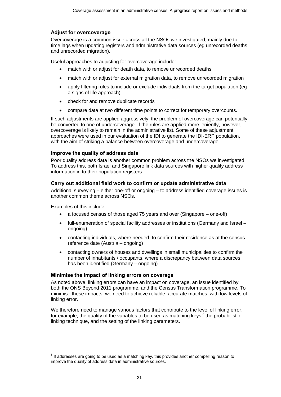#### Adjust for overcoverage

Overcoverage is a common issue across all the NSOs we investigated, mainly due to time lags when updating registers and administrative data sources (eg unrecorded deaths and unrecorded migration).

Useful approaches to adjusting for overcoverage include:

- match with or adjust for death data, to remove unrecorded deaths
- match with or adjust for external migration data, to remove unrecorded migration
- apply filtering rules to include or exclude individuals from the target population (eg a signs of life approach)
- check for and remove duplicate records
- compare data at two different time points to correct for temporary overcounts.

If such adjustments are applied aggressively, the problem of overcoverage can potentially be converted to one of undercoverage. If the rules are applied more leniently, however, overcoverage is likely to remain in the administrative list. Some of these adjustment approaches were used in our evaluation of the IDI to generate the IDI-ERP population, with the aim of striking a balance between overcoverage and undercoverage.

#### Improve the quality of address data

Poor quality address data is another common problem across the NSOs we investigated. To address this, both Israel and Singapore link data sources with higher quality address information in to their population registers.

#### Carry out additional field work to confirm or update administrative data

Additional surveying – either one-off or ongoing – to address identified coverage issues is another common theme across NSOs.

Examples of this include:

l

- a focused census of those aged 75 years and over (Singapore one-off)
- full-enumeration of special facility addresses or institutions (Germany and Israel ongoing)
- contacting individuals, where needed, to confirm their residence as at the census reference date (Austria – ongoing)
- contacting owners of houses and dwellings in small municipalities to confirm the number of inhabitants / occupants, where a discrepancy between data sources has been identified (Germany – ongoing).

#### Minimise the impact of linking errors on coverage

As noted above, linking errors can have an impact on coverage, an issue identified by both the ONS Beyond 2011 programme, and the Census Transformation programme. To minimise these impacts, we need to achieve reliable, accurate matches, with low levels of linking error.

We therefore need to manage various factors that contribute to the level of linking error, for example, the quality of the variables to be used as matching keys, $6$  the probabilistic linking technique, and the setting of the linking parameters.

 $^6$  If addresses are going to be used as a matching key, this provides another compelling reason to improve the quality of address data in administrative sources.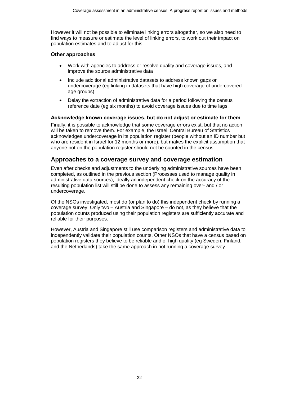However it will not be possible to eliminate linking errors altogether, so we also need to find ways to measure or estimate the level of linking errors, to work out their impact on population estimates and to adjust for this.

#### Other approaches

- Work with agencies to address or resolve quality and coverage issues, and improve the source administrative data
- Include additional administrative datasets to address known gaps or undercoverage (eg linking in datasets that have high coverage of undercovered age groups)
- Delay the extraction of administrative data for a period following the census reference date (eg six months) to avoid coverage issues due to time lags.

#### Acknowledge known coverage issues, but do not adjust or estimate for them

Finally, it is possible to acknowledge that some coverage errors exist, but that no action will be taken to remove them. For example, the Israeli Central Bureau of Statistics acknowledges undercoverage in its population register (people without an ID number but who are resident in Israel for 12 months or more), but makes the explicit assumption that anyone not on the population register should not be counted in the census.

### **Approaches to a coverage survey and coverage estimation**

Even after checks and adjustments to the underlying administrative sources have been completed, as outlined in the previous section (Processes used to manage quality in administrative data sources), ideally an independent check on the accuracy of the resulting population list will still be done to assess any remaining over- and / or undercoverage.

Of the NSOs investigated, most do (or plan to do) this independent check by running a coverage survey. Only two – Austria and Singapore – do not, as they believe that the population counts produced using their population registers are sufficiently accurate and reliable for their purposes.

However, Austria and Singapore still use comparison registers and administrative data to independently validate their population counts. Other NSOs that have a census based on population registers they believe to be reliable and of high quality (eg Sweden, Finland, and the Netherlands) take the same approach in not running a coverage survey.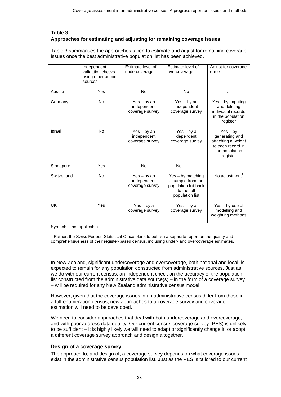### **Table 3 Approaches for estimating and adjusting for remaining coverage issues**

<span id="page-22-0"></span>Table 3 summarises the approaches taken to estimate and adjust for remaining coverage issues once the best administrative population list has been achieved.

|                         | Independent<br>validation checks<br>using other admin<br>sources | Estimate level of<br>undercoverage              | Estimate level of<br>overcoverage                                                                | Adjust for coverage<br>errors                                                                         |
|-------------------------|------------------------------------------------------------------|-------------------------------------------------|--------------------------------------------------------------------------------------------------|-------------------------------------------------------------------------------------------------------|
| Austria                 | Yes                                                              | <b>No</b>                                       | <b>No</b>                                                                                        | .                                                                                                     |
| Germany                 | <b>No</b>                                                        | Yes - by an<br>independent<br>coverage survey   | $Yes - by an$<br>independent<br>coverage survey                                                  | Yes - by imputing<br>and deleting<br>individual records<br>in the population<br>register              |
| Israel                  | <b>No</b>                                                        | $Yes - by an$<br>independent<br>coverage survey | $Yes - by a$<br>dependent<br>coverage survey                                                     | $Yes - by$<br>generating and<br>attaching a weight<br>to each record in<br>the population<br>register |
| Singapore               | Yes                                                              | <b>No</b>                                       | <b>No</b>                                                                                        |                                                                                                       |
| Switzerland             | No                                                               | $Yes - by an$<br>independent<br>coverage survey | Yes - by matching<br>a sample from the<br>population list back<br>to the full<br>population list | No adjustment <sup>1</sup>                                                                            |
| UK                      | Yes                                                              | $Yes - by a$<br>coverage survey                 | $Yes - by a$<br>coverage survey                                                                  | Yes - by use of<br>modelling and<br>weighting methods                                                 |
| Symbol:  not applicable |                                                                  |                                                 |                                                                                                  |                                                                                                       |

Rather, the Swiss Federal Statistical Office plans to publish a separate report on the quality and comprehensiveness of their register-based census, including under- and overcoverage estimates.

In New Zealand, significant undercoverage and overcoverage, both national and local, is expected to remain for any population constructed from administrative sources. Just as we do with our current census, an independent check on the accuracy of the population list constructed from the administrative data source(s) – in the form of a coverage survey – will be required for any New Zealand administrative census model.

However, given that the coverage issues in an administrative census differ from those in a full-enumeration census, new approaches to a coverage survey and coverage estimation will need to be developed.

We need to consider approaches that deal with both undercoverage and overcoverage, and with poor address data quality. Our current census coverage survey (PES) is unlikely to be sufficient – it is highly likely we will need to adapt or significantly change it, or adopt a different coverage survey approach and design altogether.

### Design of a coverage survey

The approach to, and design of, a coverage survey depends on what coverage issues exist in the administrative census population list. Just as the PES is tailored to our current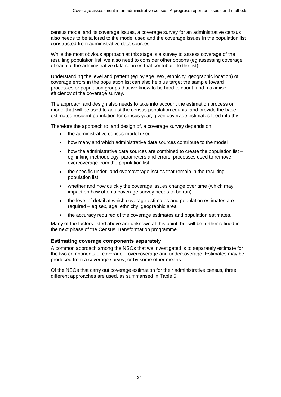census model and its coverage issues, a coverage survey for an administrative census also needs to be tailored to the model used and the coverage issues in the population list constructed from administrative data sources.

While the most obvious approach at this stage is a survey to assess coverage of the resulting population list, we also need to consider other options (eg assessing coverage of each of the administrative data sources that contribute to the list).

Understanding the level and pattern (eg by age, sex, ethnicity, geographic location) of coverage errors in the population list can also help us target the sample toward processes or population groups that we know to be hard to count, and maximise efficiency of the coverage survey.

The approach and design also needs to take into account the estimation process or model that will be used to adjust the census population counts, and provide the base estimated resident population for census year, given coverage estimates feed into this.

Therefore the approach to, and design of, a coverage survey depends on:

- the administrative census model used
- how many and which administrative data sources contribute to the model
- how the administrative data sources are combined to create the population list eg linking methodology, parameters and errors, processes used to remove overcoverage from the population list
- the specific under- and overcoverage issues that remain in the resulting population list
- whether and how quickly the coverage issues change over time (which may impact on how often a coverage survey needs to be run)
- the level of detail at which coverage estimates and population estimates are required – eg sex, age, ethnicity, geographic area
- the accuracy required of the coverage estimates and population estimates.

Many of the factors listed above are unknown at this point, but will be further refined in the next phase of the Census Transformation programme.

#### Estimating coverage components separately

A common approach among the NSOs that we investigated is to separately estimate for the two components of coverage – overcoverage and undercoverage. Estimates may be produced from a coverage survey, or by some other means.

Of the NSOs that carry out coverage estimation for their administrative census, three different approaches are used, as summarised in Table 5.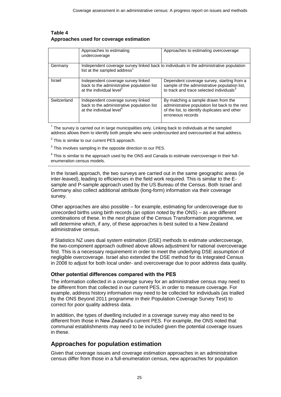#### **Table 4 Approaches used for coverage estimation**

<span id="page-24-0"></span>

|             | Approaches to estimating<br>undercoverage                                                                                           | Approaches to estimating overcoverage                                                                                                                        |  |
|-------------|-------------------------------------------------------------------------------------------------------------------------------------|--------------------------------------------------------------------------------------------------------------------------------------------------------------|--|
| Germany     | Independent coverage survey linked back to individuals in the administrative population<br>list at the sampled address <sup>1</sup> |                                                                                                                                                              |  |
| Israel      | Independent coverage survey linked<br>back to the administrative population list<br>at the individual level <sup>2</sup>            | Dependent coverage survey, starting from a<br>sample of the administrative population list,<br>to track and trace selected individuals <sup>3</sup>          |  |
| Switzerland | Independent coverage survey linked<br>back to the administrative population list<br>at the individual level <sup>4</sup>            | By matching a sample drawn from the<br>administrative population list back to the rest<br>of the list, to identify duplicates and other<br>erroneous records |  |

 $1$  The survey is carried out in large municipalities only. Linking back to individuals at the sampled address allows them to identify both people who were undercounted and overcounted at that address.

 $2$  This is similar to our current PES approach.

 $3$  This involves sampling in the opposite direction to our PES.

 $<sup>4</sup>$  This is similar to the approach used by the ONS and Canada to estimate overcoverage in their full-</sup> enumeration census models.

In the Israeli approach, the two surveys are carried out in the same geographic areas (ie inter-leaved), leading to efficiencies in the field work required. This is similar to the Esample and P-sample approach used by the US Bureau of the Census. Both Israel and Germany also collect additional attribute (long-form) information via their coverage survey.

Other approaches are also possible – for example, estimating for undercoverage due to unrecorded births using birth records (an option noted by the ONS) – as are different combinations of these. In the next phase of the Census Transformation programme, we will determine which, if any, of these approaches is best suited to a New Zealand administrative census.

If Statistics NZ uses dual system estimation (DSE) methods to estimate undercoverage, the two-component approach outlined above allows adjustment for national overcoverage first. This is a necessary requirement in order to meet the underlying DSE assumption of negligible overcoverage. Israel also extended the DSE method for its Integrated Census in 2008 to adjust for both local under- and overcoverage due to poor address data quality.

#### Other potential differences compared with the PES

The information collected in a coverage survey for an administrative census may need to be different from that collected in our current PES, in order to measure coverage. For example, address history information may need to be collected for individuals (as trialled by the ONS Beyond 2011 programme in their Population Coverage Survey Test) to correct for poor quality address data.

In addition, the types of dwelling included in a coverage survey may also need to be different from those in New Zealand's current PES. For example, the ONS noted that communal establishments may need to be included given the potential coverage issues in these.

### **Approaches for population estimation**

Given that coverage issues and coverage estimation approaches in an administrative census differ from those in a full-enumeration census, new approaches for population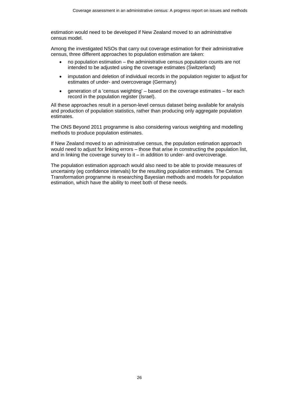estimation would need to be developed if New Zealand moved to an administrative census model.

Among the investigated NSOs that carry out coverage estimation for their administrative census, three different approaches to population estimation are taken:

- no population estimation the administrative census population counts are not intended to be adjusted using the coverage estimates (Switzerland)
- imputation and deletion of individual records in the population register to adjust for estimates of under- and overcoverage (Germany)
- generation of a 'census weighting' based on the coverage estimates for each record in the population register (Israel).

All these approaches result in a person-level census dataset being available for analysis and production of population statistics, rather than producing only aggregate population estimates.

The ONS Beyond 2011 programme is also considering various weighting and modelling methods to produce population estimates.

If New Zealand moved to an administrative census, the population estimation approach would need to adjust for linking errors – those that arise in constructing the population list, and in linking the coverage survey to it – in addition to under- and overcoverage.

The population estimation approach would also need to be able to provide measures of uncertainty (eg confidence intervals) for the resulting population estimates. The Census Transformation programme is researching Bayesian methods and models for population estimation, which have the ability to meet both of these needs.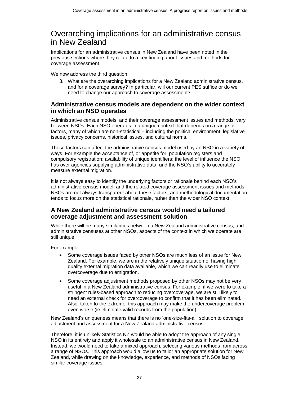# <span id="page-26-0"></span>Overarching implications for an administrative census in New Zealand

Implications for an administrative census in New Zealand have been noted in the previous sections where they relate to a key finding about issues and methods for coverage assessment.

We now address the third question:

3. What are the overarching implications for a New Zealand administrative census, and for a coverage survey? In particular, will our current PES suffice or do we need to change our approach to coverage assessment?

### **Administrative census models are dependent on the wider context in which an NSO operates**

Administrative census models, and their coverage assessment issues and methods, vary between NSOs. Each NSO operates in a unique context that depends on a range of factors, many of which are non-statistical – including the political environment, legislative issues, privacy concerns, historical issues, and cultural norms.

These factors can affect the administrative census model used by an NSO in a variety of ways. For example the acceptance of, or appetite for, population registers and compulsory registration; availability of unique identifiers; the level of influence the NSO has over agencies supplying administrative data; and the NSO's ability to accurately measure external migration.

It is not always easy to identify the underlying factors or rationale behind each NSO's administrative census model, and the related coverage assessment issues and methods. NSOs are not always transparent about these factors, and methodological documentation tends to focus more on the statistical rationale, rather than the wider NSO context.

### **A New Zealand administrative census would need a tailored coverage adjustment and assessment solution**

While there will be many similarities between a New Zealand administrative census, and administrative censuses at other NSOs, aspects of the context in which we operate are still unique.

For example:

- Some coverage issues faced by other NSOs are much less of an issue for New Zealand. For example, we are in the relatively unique situation of having high quality external migration data available, which we can readily use to eliminate overcoverage due to emigration.
- Some coverage adjustment methods proposed by other NSOs may not be very useful in a New Zealand administrative census. For example, if we were to take a stringent rules-based approach to reducing overcoverage, we are still likely to need an external check for overcoverage to confirm that it has been eliminated. Also, taken to the extreme, this approach may make the undercoverage problem even worse (ie eliminate valid records from the population).

New Zealand's uniqueness means that there is no 'one-size-fits-all' solution to coverage adjustment and assessment for a New Zealand administrative census.

Therefore, it is unlikely Statistics NZ would be able to adopt the approach of any single NSO in its entirety and apply it wholesale to an administrative census in New Zealand. Instead, we would need to take a mixed approach, selecting various methods from across a range of NSOs. This approach would allow us to tailor an appropriate solution for New Zealand, while drawing on the knowledge, experience, and methods of NSOs facing similar coverage issues.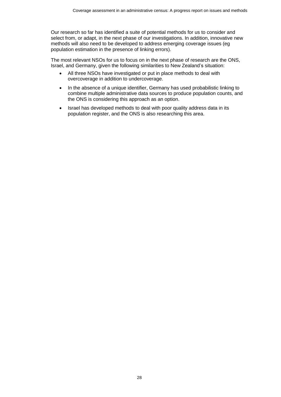Our research so far has identified a suite of potential methods for us to consider and select from, or adapt, in the next phase of our investigations. In addition, innovative new methods will also need to be developed to address emerging coverage issues (eg population estimation in the presence of linking errors).

The most relevant NSOs for us to focus on in the next phase of research are the ONS, Israel, and Germany, given the following similarities to New Zealand's situation:

- All three NSOs have investigated or put in place methods to deal with overcoverage in addition to undercoverage.
- In the absence of a unique identifier, Germany has used probabilistic linking to combine multiple administrative data sources to produce population counts, and the ONS is considering this approach as an option.
- Israel has developed methods to deal with poor quality address data in its population register, and the ONS is also researching this area.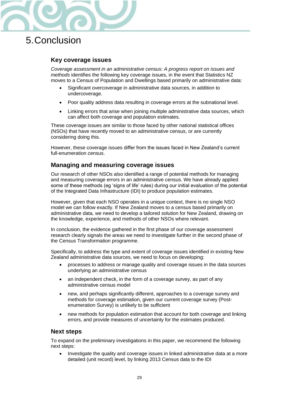

# <span id="page-28-0"></span>5.Conclusion

### **Key coverage issues**

*Coverage assessment in an administrative census: A progress report on issues and methods* identifies the following key coverage issues, in the event that Statistics NZ moves to a Census of Population and Dwellings based primarily on administrative data:

- Significant overcoverage in administrative data sources, in addition to undercoverage.
- Poor quality address data resulting in coverage errors at the subnational level.
- Linking errors that arise when joining multiple administrative data sources, which can affect both coverage and population estimates.

These coverage issues are similar to those faced by other national statistical offices (NSOs) that have recently moved to an administrative census, or are currently considering doing this.

However, these coverage issues differ from the issues faced in New Zealand's current full-enumeration census.

### **Managing and measuring coverage issues**

Our research of other NSOs also identified a range of potential methods for managing and measuring coverage errors in an administrative census. We have already applied some of these methods (eg 'signs of life' rules) during our initial evaluation of the potential of the Integrated Data Infrastructure (IDI) to produce population estimates.

However, given that each NSO operates in a unique context, there is no single NSO model we can follow exactly. If New Zealand moves to a census based primarily on administrative data, we need to develop a tailored solution for New Zealand, drawing on the knowledge, experience, and methods of other NSOs where relevant.

In conclusion, the evidence gathered in the first phase of our coverage assessment research clearly signals the areas we need to investigate further in the second phase of the Census Transformation programme.

Specifically, to address the type and extent of coverage issues identified in existing New Zealand administrative data sources, we need to focus on developing:

- processes to address or manage quality and coverage issues in the data sources underlying an administrative census
- an independent check, in the form of a coverage survey, as part of any administrative census model
- new, and perhaps significantly different, approaches to a coverage survey and methods for coverage estimation, given our current coverage survey (Postenumeration Survey) is unlikely to be sufficient
- new methods for population estimation that account for both coverage and linking errors, and provide measures of uncertainty for the estimates produced.

### **Next steps**

To expand on the preliminary investigations in this paper, we recommend the following next steps:

 Investigate the quality and coverage issues in linked administrative data at a more detailed (unit record) level, by linking 2013 Census data to the IDI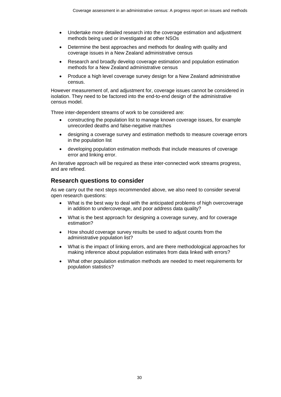- Undertake more detailed research into the coverage estimation and adjustment methods being used or investigated at other NSOs
- Determine the best approaches and methods for dealing with quality and coverage issues in a New Zealand administrative census
- Research and broadly develop coverage estimation and population estimation methods for a New Zealand administrative census
- Produce a high level coverage survey design for a New Zealand administrative census.

However measurement of, and adjustment for, coverage issues cannot be considered in isolation. They need to be factored into the end-to-end design of the administrative census model.

Three inter-dependent streams of work to be considered are:

- constructing the population list to manage known coverage issues, for example unrecorded deaths and false-negative matches
- designing a coverage survey and estimation methods to measure coverage errors in the population list
- developing population estimation methods that include measures of coverage error and linking error.

An iterative approach will be required as these inter-connected work streams progress, and are refined.

### **Research questions to consider**

As we carry out the next steps recommended above, we also need to consider several open research questions:

- What is the best way to deal with the anticipated problems of high overcoverage in addition to undercoverage, and poor address data quality?
- What is the best approach for designing a coverage survey, and for coverage estimation?
- How should coverage survey results be used to adjust counts from the administrative population list?
- What is the impact of linking errors, and are there methodological approaches for making inference about population estimates from data linked with errors?
- What other population estimation methods are needed to meet requirements for population statistics?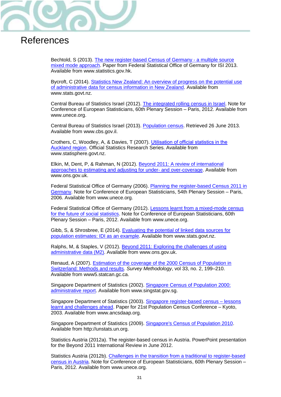

# <span id="page-30-0"></span>References

Bechtold, S (2013). [The new register-based Census of Germany -](http://www.statistics.gov.hk/wsc/IPS027-P2-S.pdf) a multiple source [mixed mode approach.](http://www.statistics.gov.hk/wsc/IPS027-P2-S.pdf) Paper from Federal Statistical Office of Germany for ISI 2013. Available from www.statistics.gov.hk.

Bycroft, C (2014). [Statistics New Zealand: An overview of progress on the potential use](http://www.stats.govt.nz/methods/research-papers/topss/census-admin-data.aspx)  [of administrative data for census information in New Zealand.](http://www.stats.govt.nz/methods/research-papers/topss/census-admin-data.aspx) Available from www.stats.govt.nz.

Central Bureau of Statistics Israel (2012). [The integrated rolling census in Israel.](http://www.unece.org/stats/documents/2012.06.ces.html) Note for Conference of European Statisticians, 60th Plenary Session – Paris, 2012. Available from www.unece.org.

Central Bureau of Statistics Israel (2013). Population census. Retrieved 26 June 2013. Available from www.cbs.gov.il.

Crothers, C, Woodley, A, & Davies, T (2007). [Utilisation of official statistics in the](http://www.statisphere.govt.nz/further-resources-and-info/official-statistics-research/series/volume-2-2007.aspx#6)  [Auckland region](http://www.statisphere.govt.nz/further-resources-and-info/official-statistics-research/series/volume-2-2007.aspx#6). Official Statistics Research Series. Available from www.statisphere.govt.nz.

Elkin, M, Dent, P, & Rahman, N (2012). Beyond 2011: A review of international approaches to estimating and adjusting for under- and over-coverage. Available from www.ons.gov.uk.

Federal Statistical Office of Germany (2006). [Planning the register-based Census 2011 in](http://www.unece.org/stats/documents/2006.06.ces.html)  [Germany.](http://www.unece.org/stats/documents/2006.06.ces.html) Note for Conference of European Statisticians, 54th Plenary Session – Paris, 2006. Available from www.unece.org.

Federal Statistical Office of Germany (2012). [Lessons learnt from a mixed-mode census](http://www.unece.org/stats/documents/2012.06.ces.html)  [for the future of social statistics.](http://www.unece.org/stats/documents/2012.06.ces.html) Note for Conference of European Statisticians, 60th Plenary Session – Paris, 2012. Available from www.unece.org.

Gibb, S, & Shrosbree, E (2014). [Evaluating the potential of linked data sources for](http://www.stats.govt.nz/methods/research-papers/topss/evaluating-potential-linked-data-sources.aspx)  [population estimates: IDI as an example.](http://www.stats.govt.nz/methods/research-papers/topss/evaluating-potential-linked-data-sources.aspx) Available from www.stats.govt.nz.

Ralphs, M, & Staples, V (2012)[. Beyond 2011: Exploring the challenges of using](http://www.ons.gov.uk/ons/about-ons/who-ons-are/programmes-and-projects/beyond-2011/reports-and-publications/methods-and-policies-reports/index.html)  [administrative data](http://www.ons.gov.uk/ons/about-ons/who-ons-are/programmes-and-projects/beyond-2011/reports-and-publications/methods-and-policies-reports/index.html) (M2). Available from www.ons.gov.uk.

Renaud, A (2007). [Estimation of the coverage of the 2000 Census of Population in](http://www5.statcan.gc.ca/olc-cel/olc.action?ObjId=12-001-X200700210497&ObjType=47&lang=en&limit=0)  [Switzerland: Methods and results.](http://www5.statcan.gc.ca/olc-cel/olc.action?ObjId=12-001-X200700210497&ObjType=47&lang=en&limit=0) *Survey Methodology*, vol 33, no. 2, 199–210. Available from www5.statcan.gc.ca.

Singapore Department of Statistics (2002). [Singapore Census of Population 2000:](http://www.singstat.gov.sg/publications/publications_and_papers/cop2000/census_stat_admin.html)  [administrative report.](http://www.singstat.gov.sg/publications/publications_and_papers/cop2000/census_stat_admin.html) Available from www.singstat.gov.sg.

Singapore Department of Statistics (2003). [Singapore register-based census –](http://unstats.un.org/unsd/censuskb20/KnowledgebaseArticle10480.aspx) lessons [learnt and challenges ahead.](http://unstats.un.org/unsd/censuskb20/KnowledgebaseArticle10480.aspx) Paper for 21st Population Census Conference – Kyoto, 2003. Available from www.ancsdaap.org.

Singapore Department of Statistics (2009). [Singapore's Census of Population 2010.](http://unstats.un.org/unsd/censuskb20/KnowledgebaseArticle10690.aspx) Available from http://unstats.un.org.

Statistics Austria (2012a). The register-based census in Austria. PowerPoint presentation for the Beyond 2011 International Review in June 2012.

Statistics Austria (2012b). [Challenges in the transition from a traditional to register-based](http://www.unece.org/stats/documents/2012.06.ces.html)  [census in Austria.](http://www.unece.org/stats/documents/2012.06.ces.html) Note for Conference of European Statisticians, 60th Plenary Session – Paris, 2012. Available from www.unece.org.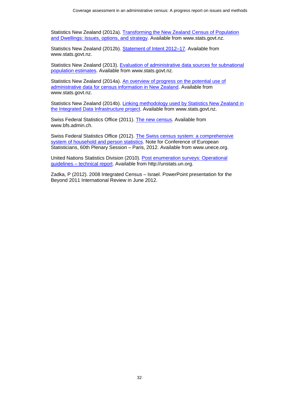Statistics New Zealand (2012a). [Transforming the New Zealand Census of Population](http://www.stats.govt.nz/methods/research-papers/topss/transforming-nz-census-pop-dwell.aspx)  [and Dwellings: Issues, options, and strategy.](http://www.stats.govt.nz/methods/research-papers/topss/transforming-nz-census-pop-dwell.aspx) Available from www.stats.govt.nz.

Statistics New Zealand (2012b). Statement of Intent 2012–17. Available from www.stats.govt.nz.

Statistics New Zealand (2013). [Evaluation of administrative data sources for subnational](http://www.stats.govt.nz/browse_for_stats/population/estimates_and_projections/eval-admin-subnat-pop-est.aspx)  [population estimates.](http://www.stats.govt.nz/browse_for_stats/population/estimates_and_projections/eval-admin-subnat-pop-est.aspx) Available from www.stats.govt.nz.

Statistics New Zealand (2014a). An overview of progress on the potential use of [administrative data for census information in New Zealand.](http://www.stats.govt.nz/methods/research-papers/topss/census-admin-data.aspx) Available from www.stats.govt.nz.

Statistics New Zealand (2014b). [Linking methodology used by Statistics New Zealand in](http://www.stats.govt.nz/browse_for_stats/snapshots-of-nz/integrated-data-infrastructure/linking-methodology-statsnz-idi.aspx)  [the Integrated Data Infrastructure project.](http://www.stats.govt.nz/browse_for_stats/snapshots-of-nz/integrated-data-infrastructure/linking-methodology-statsnz-idi.aspx) Available from www.stats.govt.nz.

Swiss Federal Statistics Office (2011). [The new census.](http://www.bfs.admin.ch/bfs/portal/en/index/news/publikationen.html?publicationID=4617) Available from www.bfs.admin.ch.

Swiss Federal Statistics Office (2012). [The Swiss census system: a comprehensive](http://www.unece.org/stats/documents/2012.06.ces.html)  [system of household and person statistics.](http://www.unece.org/stats/documents/2012.06.ces.html) Note for Conference of European Statisticians, 60th Plenary Session – Paris, 2012. Available from www.unece.org.

United Nations Statistics Division (2010). [Post enumeration surveys: Operational](http://unstats.un.org/unsd/censuskb20/KnowledgebaseArticle10685.aspx)  guidelines – [technical report.](http://unstats.un.org/unsd/censuskb20/KnowledgebaseArticle10685.aspx) Available from http://unstats.un.org.

Zadka, P (2012). 2008 Integrated Census – Israel. PowerPoint presentation for the Beyond 2011 International Review in June 2012.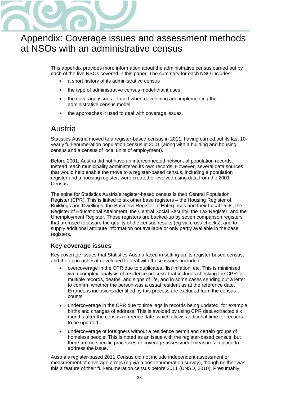

# <span id="page-32-0"></span>Appendix: Coverage issues and assessment methods at NSOs with an administrative census

This appendix provides more information about the administrative census carried out by each of the five NSOs covered in this paper. The summary for each NSO includes:

- a short history of its administrative census
- the type of administrative census model that it uses
- the coverage issues it faced when developing and implementing the administrative census model
- the approaches it used to deal with coverage issues.

# <span id="page-32-1"></span>Austria

Statistics Austria moved to a register-based census in 2011, having carried out its last 10 yearly full-enumeration population census in 2001 (along with a building and housing census and a census of local units of employment).

Before 2001, Austria did not have an interconnected network of population records. Instead, each municipality administered its own records. However, several data sources that would help enable the move to a register-based census, including a population register and a housing register, were created or evolved using data from the 2001 Census.

The spine for Statistics Austria's register-based census is their Central Population Register (CPR). This is linked to six other base registers – the Housing Register of Buildings and Dwellings, the Business Register of Enterprises and their Local Units, the Register of Educational Attainment, the Central Social Security, the Tax Register, and the Unemployment Register. These registers are backed-up by seven comparison registers that are used to assure the quality of the census results (eg via cross-checks), and to supply additional attribute information not available or only partly available in the base registers.

## **Key coverage issues**

Key coverage issues that Statistics Austria faced in setting-up its register-based census, and the approaches it developed to deal with these issues, included:

- overcoverage in the CPR due to duplicates, 'list inflation' etc. This is minimised via a complex 'analysis of residence process' that includes checking the CPR for multiple records, deaths, and signs of life, and in some cases sending out a letter to confirm whether the person was a usual resident as at the reference date. Erroneous inclusions identified by this process are excluded from the census counts
- undercoverage in the CPR due to time lags in records being updated, for example births and changes of address. This is avoided by using CPR data extracted six months after the census reference date, which allows additional time for records to be updated
- undercoverage of foreigners without a residence permit and certain groups of homeless people. This is noted as an issue with the register-based census, but there are no specific processes or coverage assessment measures in place to address the issue.

Austria's register-based 2011 Census did not include independent assessment or measurement of coverage errors (eg via a post-enumeration survey), though neither was this a feature of their full-enumeration census before 2011 (UNSD, 2010). Presumably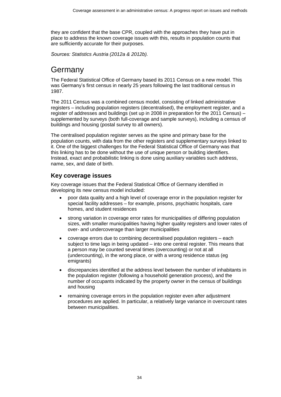they are confident that the base CPR, coupled with the approaches they have put in place to address the known coverage issues with this, results in population counts that are sufficiently accurate for their purposes.

Sources*: Statistics Austria (2012a & 2012b).*

# <span id="page-33-0"></span>Germany

The Federal Statistical Office of Germany based its 2011 Census on a new model. This was Germany's first census in nearly 25 years following the last traditional census in 1987.

The 2011 Census was a combined census model, consisting of linked administrative registers – including population registers (decentralised), the employment register, and a register of addresses and buildings (set up in 2008 in preparation for the 2011 Census) – supplemented by surveys (both full-coverage and sample surveys), including a census of buildings and housing (postal survey to all owners).

The centralised population register serves as the spine and primary base for the population counts, with data from the other registers and supplementary surveys linked to it. One of the biggest challenges for the Federal Statistical Office of Germany was that this linking has to be done without the use of unique person or building identifiers. Instead, exact and probabilistic linking is done using auxiliary variables such address, name, sex, and date of birth.

## **Key coverage issues**

Key coverage issues that the Federal Statistical Office of Germany identified in developing its new census model included:

- poor data quality and a high level of coverage error in the population register for special facility addresses – for example, prisons, psychiatric hospitals, care homes, and student residences
- strong variation in coverage error rates for municipalities of differing population sizes, with smaller municipalities having higher quality registers and lower rates of over- and undercoverage than larger municipalities
- coverage errors due to combining decentralised population registers each subject to time lags in being updated – into one central register. This means that a person may be counted several times (overcounting) or not at all (undercounting), in the wrong place, or with a wrong residence status (eg emigrants)
- discrepancies identified at the address level between the number of inhabitants in the population register (following a household generation process), and the number of occupants indicated by the property owner in the census of buildings and housing
- remaining coverage errors in the population register even after adjustment procedures are applied. In particular, a relatively large variance in overcount rates between municipalities.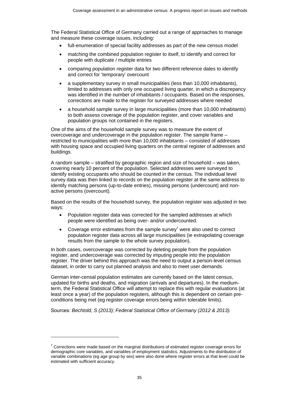The Federal Statistical Office of Germany carried out a range of approaches to manage and measure these coverage issues, including:

- full-enumeration of special facility addresses as part of the new census model
- matching the combined population register to itself, to identify and correct for people with duplicate / multiple entries
- comparing population register data for two different reference dates to identify and correct for 'temporary' overcount
- a supplementary survey in small municipalities (less than 10,000 inhabitants), limited to addresses with only one occupied living quarter, in which a discrepancy was identified in the number of inhabitants / occupants. Based on the responses, corrections are made to the register for surveyed addresses where needed
- a household sample survey in large municipalities (more than 10,000 inhabitants) to both assess coverage of the population register, and cover variables and population groups not contained in the registers.

One of the aims of the household sample survey was to measure the extent of overcoverage and undercoverage in the population register. The sample frame – restricted to municipalities with more than 10,000 inhabitants – consisted of addresses with housing space and occupied living quarters on the central register of addresses and buildings.

A random sample – stratified by geographic region and size of household – was taken, covering nearly 10 percent of the population. Selected addresses were surveyed to identify existing occupants who should be counted in the census. The individual level survey data was then linked to records on the population register at the same address to identify matching persons (up-to-date entries), missing persons (undercount) and nonactive persons (overcount).

Based on the results of the household survey, the population register was adjusted in two ways:

- Population register data was corrected for the sampled addresses at which people were identified as being over- and/or undercounted.
- Coverage error estimates from the sample survey<sup>7</sup> were also used to correct population register data across all large municipalities (ie extrapolating coverage results from the sample to the whole survey population).

In both cases, overcoverage was corrected by deleting people from the population register, and undercoverage was corrected by imputing people into the population register. The driver behind this approach was the need to output a person-level census dataset, in order to carry out planned analysis and also to meet user demands.

German inter-censal population estimates are currently based on the latest census, updated for births and deaths, and migration (arrivals and departures). In the mediumterm, the Federal Statistical Office will attempt to replace this with regular evaluations (at least once a year) of the population registers, although this is dependent on certain preconditions being met (eg register coverage errors being within tolerable limits).

Sources*: Bechtold, S (2013); Federal Statistical Office of Germany (2012 & 2013).*

l

 $7$  Corrections were made based on the marginal distributions of estimated register coverage errors for demographic core variables, and variables of employment statistics. Adjustments to the distribution of variable combinations (eg age group by sex) were also done where register errors at that level could be estimated with sufficient accuracy.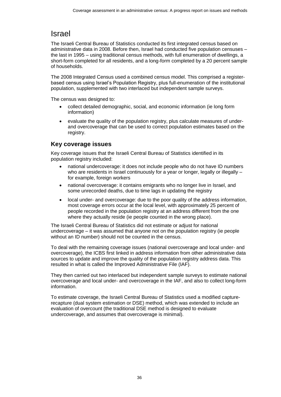# <span id="page-35-0"></span>Israel

The Israeli Central Bureau of Statistics conducted its first integrated census based on administrative data in 2008. Before then, Israel had conducted five population censuses – the last in 1995 – using traditional census methods, with full enumeration of dwellings, a short-form completed for all residents, and a long-form completed by a 20 percent sample of households.

The 2008 Integrated Census used a combined census model. This comprised a registerbased census using Israel's Population Registry, plus full-enumeration of the institutional population, supplemented with two interlaced but independent sample surveys.

The census was designed to:

- collect detailed demographic, social, and economic information (ie long form information)
- evaluate the quality of the population registry, plus calculate measures of underand overcoverage that can be used to correct population estimates based on the registry.

## **Key coverage issues**

Key coverage issues that the Israeli Central Bureau of Statistics identified in its population registry included:

- national undercoverage: it does not include people who do not have ID numbers who are residents in Israel continuously for a year or longer, legally or illegally – for example, foreign workers
- national overcoverage: it contains emigrants who no longer live in Israel, and some unrecorded deaths, due to time lags in updating the registry
- local under- and overcoverage: due to the poor quality of the address information, most coverage errors occur at the local level, with approximately 25 percent of people recorded in the population registry at an address different from the one where they actually reside (ie people counted in the wrong place).

The Israeli Central Bureau of Statistics did not estimate or adjust for national undercoverage – it was assumed that anyone not on the population registry (ie people without an ID number) should not be counted in the census.

To deal with the remaining coverage issues (national overcoverage and local under- and overcoverage), the ICBS first linked in address information from other administrative data sources to update and improve the quality of the population registry address data. This resulted in what is called the Improved Administrative File (IAF).

They then carried out two interlaced but independent sample surveys to estimate national overcoverage and local under- and overcoverage in the IAF, and also to collect long-form information.

To estimate coverage, the Israeli Central Bureau of Statistics used a modified capturerecapture (dual system estimation or DSE) method, which was extended to include an evaluation of overcount (the traditional DSE method is designed to evaluate undercoverage, and assumes that overcoverage is minimal).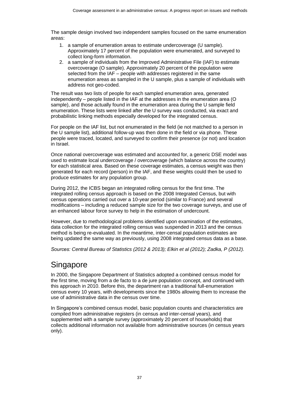The sample design involved two independent samples focused on the same enumeration areas:

- 1. a sample of enumeration areas to estimate undercoverage (U sample). Approximately 17 percent of the population were enumerated, and surveyed to collect long-form information.
- 2. a sample of individuals from the Improved Administrative File (IAF) to estimate overcoverage (O sample). Approximately 20 percent of the population were selected from the IAF – people with addresses registered in the same enumeration areas as sampled in the U sample, plus a sample of individuals with address not geo-coded.

The result was two lists of people for each sampled enumeration area, generated independently – people listed in the IAF at the addresses in the enumeration area (O sample), and those actually found in the enumeration area during the U sample field enumeration. These lists were linked after the U survey was conducted, via exact and probabilistic linking methods especially developed for the integrated census.

For people on the IAF list, but not enumerated in the field (ie not matched to a person in the U sample list), additional follow-up was then done in the field or via phone. These people were traced, located, and surveyed to confirm their presence (or not) and location in Israel.

Once national overcoverage was estimated and accounted for, a generic DSE model was used to estimate local undercoverage / overcoverage (which balance across the country) for each statistical area. Based on these coverage estimates, a census weight was then generated for each record (person) in the IAF, and these weights could then be used to produce estimates for any population group.

During 2012, the ICBS began an integrated rolling census for the first time. The integrated rolling census approach is based on the 2008 Integrated Census, but with census operations carried out over a 10-year period (similar to France) and several modifications – including a reduced sample size for the two coverage surveys, and use of an enhanced labour force survey to help in the estimation of undercount.

However, due to methodological problems identified upon examination of the estimates, data collection for the integrated rolling census was suspended in 2013 and the census method is being re-evaluated. In the meantime, inter-censal population estimates are being updated the same way as previously, using 2008 integrated census data as a base.

Sources*: Central Bureau of Statistics (2012 & 2013); Elkin et al (2012); Zadka, P (2012).*

# <span id="page-36-0"></span>**Singapore**

In 2000, the Singapore Department of Statistics adopted a combined census model for the first time, moving from a de facto to a de jure population concept, and continued with this approach in 2010. Before this, the department ran a traditional full-enumeration census every 10 years, with developments since the 1980s allowing them to increase the use of administrative data in the census over time.

In Singapore's combined census model, basic population counts and characteristics are compiled from administrative registers (in census and inter-censal years), and supplemented with a sample survey (approximately 20 percent of households) that collects additional information not available from administrative sources (in census years only).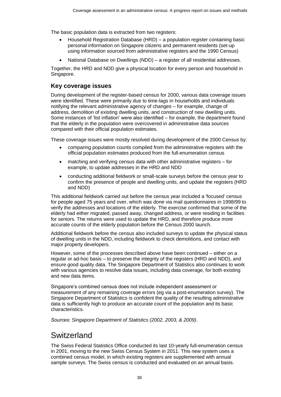The basic population data is extracted from two registers:

- Household Registration Database (HRD) a population register containing basic personal information on Singapore citizens and permanent residents (set-up using information sourced from administrative registers and the 1990 Census)
- National Database on Dwellings (NDD) a register of all residential addresses.

Together, the HRD and NDD give a physical location for every person and household in Singapore.

### **Key coverage issues**

During development of the register-based census for 2000, various data coverage issues were identified. These were primarily due to time-lags in households and individuals notifying the relevant administrative agency of changes – for example, change of address, demolition of existing dwelling units, and construction of new dwelling units. Some instances of 'list inflation' were also identified – for example, the department found that the elderly in the population were overcovered in administrative data sources compared with their official population estimates.

These coverage issues were mostly resolved during development of the 2000 Census by:

- comparing population counts compiled from the administrative registers with the official population estimates produced from the full-enumeration census
- matching and verifying census data with other administrative registers for example, to update addresses in the HRD and NDD
- conducting additional fieldwork or small-scale surveys before the census year to confirm the presence of people and dwelling units, and update the registers (HRD and NDD)

This additional fieldwork carried out before the census year included a 'focused' census for people aged 75 years and over, which was done via mail questionnaires in 1998/99 to verify the addresses and locations of the elderly. The exercise confirmed that some of the elderly had either migrated, passed away, changed address, or were residing in facilities for seniors. The returns were used to update the HRD, and therefore produce more accurate counts of the elderly population before the Census 2000 launch.

Additional fieldwork before the census also included surveys to update the physical status of dwelling units in the NDD, including fieldwork to check demolitions, and contact with major property developers.

However, some of the processes described above have been continued – either on a regular or ad-hoc basis – to preserve the integrity of the registers (HRD and NDD), and ensure good quality data. The Singapore Department of Statistics also continues to work with various agencies to resolve data issues, including data coverage, for both existing and new data items.

Singapore's combined census does not include independent assessment or measurement of any remaining coverage errors (eg via a post-enumeration survey). The Singapore Department of Statistics is confident the quality of the resulting administrative data is sufficiently high to produce an accurate count of the population and its basic characteristics.

Sources: *Singapore Department of Statistics (2002, 2003, & 2009)*.

## <span id="page-37-0"></span>**Switzerland**

The Swiss Federal Statistics Office conducted its last 10-yearly full-enumeration census in 2001, moving to the new Swiss Census System in 2011. This new system uses a combined census model, in which existing registers are supplemented with annual sample surveys. The Swiss census is conducted and evaluated on an annual basis.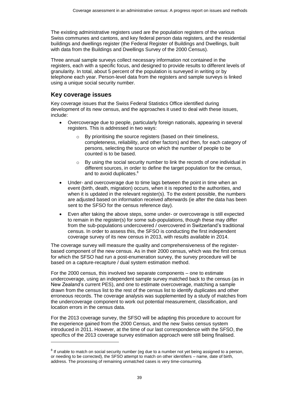The existing administrative registers used are the population registers of the various Swiss communes and cantons, and key federal person data registers, and the residential buildings and dwellings register (the Federal Register of Buildings and Dwellings, built with data from the Buildings and Dwellings Survey of the 2000 Census).

Three annual sample surveys collect necessary information not contained in the registers, each with a specific focus, and designed to provide results to different levels of granularity. In total, about 5 percent of the population is surveyed in writing or by telephone each year. Person-level data from the registers and sample surveys is linked using a unique social security number.

### **Key coverage issues**

 $\overline{a}$ 

Key coverage issues that the Swiss Federal Statistics Office identified during development of its new census, and the approaches it used to deal with these issues, include:

- Overcoverage due to people, particularly foreign nationals, appearing in several registers. This is addressed in two ways:
	- o By prioritising the source registers (based on their timeliness, completeness, reliability, and other factors) and then, for each category of persons, selecting the source on which the number of people to be counted is to be based.
	- By using the social security number to link the records of one individual in different sources, in order to define the target population for the census, and to avoid duplicates.<sup>8</sup>
- Under- and overcoverage due to time lags between the point in time when an event (birth, death, migration) occurs, when it is reported to the authorities, and when it is updated in the relevant register(s). To the extent possible, the numbers are adjusted based on information received afterwards (ie after the data has been sent to the SFSO for the census reference day).
- Even after taking the above steps, some under- or overcoverage is still expected to remain in the register(s) for some sub-populations, though these may differ from the sub-populations undercovered / overcovered in Switzerland's traditional census. In order to assess this, the SFSO is conducting the first independent coverage survey of its new census in 2013, with results available in 2014.

The coverage survey will measure the quality and comprehensiveness of the registerbased component of the new census. As in their 2000 census, which was the first census for which the SFSO had run a post-enumeration survey, the survey procedure will be based on a capture-recapture / dual system estimation method.

For the 2000 census, this involved two separate components – one to estimate undercoverage, using an independent sample survey matched back to the census (as in New Zealand's current PES), and one to estimate overcoverage, matching a sample drawn from the census list to the rest of the census list to identify duplicates and other erroneous records. The coverage analysis was supplemented by a study of matches from the undercoverage component to work out potential measurement, classification, and location errors in the census data.

For the 2013 coverage survey, the SFSO will be adapting this procedure to account for the experience gained from the 2000 Census, and the new Swiss census system introduced in 2011. However, at the time of our last correspondence with the SFSO, the specifics of the 2013 coverage survey estimation approach were still being finalised.

 $8$  If unable to match on social security number (eg due to a number not yet being assigned to a person, or needing to be corrected), the SFSO attempt to match on other identifiers – name, date of birth, address. The processing of remaining unmatched cases is very time-consuming.